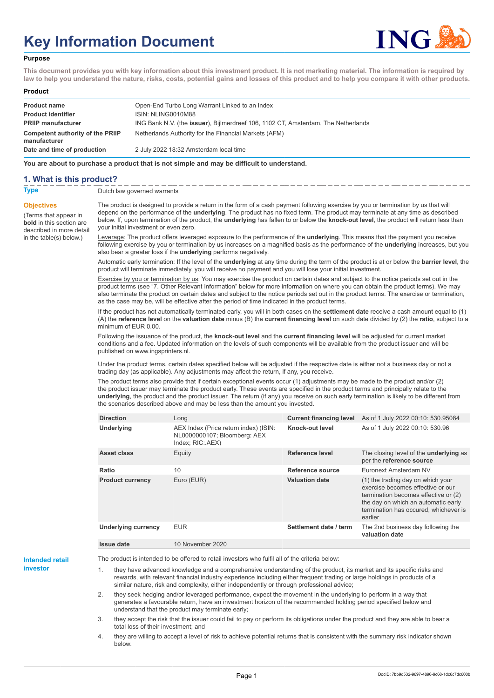# **Key Information Document**



#### **Purpose**

**This document provides you with key information about this investment product. It is not marketing material. The information is required by law to help you understand the nature, risks, costs, potential gains and losses of this product and to help you compare it with other products.**

#### **Product**

| <b>Product name</b><br><b>Product identifier</b><br><b>PRIIP manufacturer</b> | Open-End Turbo Long Warrant Linked to an Index<br>ISIN: NLING0010M88<br>ING Bank N.V. (the <b>issuer</b> ), Bijlmerdreef 106, 1102 CT, Amsterdam, The Netherlands |
|-------------------------------------------------------------------------------|-------------------------------------------------------------------------------------------------------------------------------------------------------------------|
| Competent authority of the PRIIP<br>manufacturer                              | Netherlands Authority for the Financial Markets (AFM)                                                                                                             |
| Date and time of production                                                   | 2 July 2022 18:32 Amsterdam local time                                                                                                                            |

**You are about to purchase a product that is not simple and may be difficult to understand.**

### **1. What is this product?**

**Objectives**

(Terms that appear in **bold** in this section are

in the table(s) below.)

**Type** Dutch law governed warrants

described in more detail The product is designed to provide a return in the form of a cash payment following exercise by you or termination by us that will depend on the performance of the **underlying**. The product has no fixed term. The product may terminate at any time as described below. If, upon termination of the product, the **underlying** has fallen to or below the **knock-out level**, the product will return less than your initial investment or even zero.

> Leverage: The product offers leveraged exposure to the performance of the **underlying**. This means that the payment you receive following exercise by you or termination by us increases on a magnified basis as the performance of the **underlying** increases, but you also bear a greater loss if the **underlying** performs negatively.

> Automatic early termination: If the level of the **underlying** at any time during the term of the product is at or below the **barrier level**, the product will terminate immediately, you will receive no payment and you will lose your initial investment.

Exercise by you or termination by us: You may exercise the product on certain dates and subject to the notice periods set out in the product terms (see "7. Other Relevant Information" below for more information on where you can obtain the product terms). We may also terminate the product on certain dates and subject to the notice periods set out in the product terms. The exercise or termination, as the case may be, will be effective after the period of time indicated in the product terms.

If the product has not automatically terminated early, you will in both cases on the **settlement date** receive a cash amount equal to (1) (A) the **reference level** on the **valuation date** minus (B) the **current financing level** on such date divided by (2) the **ratio**, subject to a minimum of EUR 0.00.

Following the issuance of the product, the **knock-out level** and the **current financing level** will be adjusted for current market conditions and a fee. Updated information on the levels of such components will be available from the product issuer and will be published on www.ingsprinters.nl.

Under the product terms, certain dates specified below will be adjusted if the respective date is either not a business day or not a trading day (as applicable). Any adjustments may affect the return, if any, you receive.

The product terms also provide that if certain exceptional events occur (1) adjustments may be made to the product and/or (2) the product issuer may terminate the product early. These events are specified in the product terms and principally relate to the **underlying**, the product and the product issuer. The return (if any) you receive on such early termination is likely to be different from the scenarios described above and may be less than the amount you invested.

| <b>Direction</b>           | Long                                                                                      | <b>Current financing level</b> | As of 1 July 2022 00:10: 530.95084                                                                                                                                                                        |
|----------------------------|-------------------------------------------------------------------------------------------|--------------------------------|-----------------------------------------------------------------------------------------------------------------------------------------------------------------------------------------------------------|
| <b>Underlying</b>          | AEX Index (Price return index) (ISIN:<br>NL0000000107; Bloomberg: AEX<br>Index; RIC: AEX) | Knock-out level                | As of 1 July 2022 00:10: 530.96                                                                                                                                                                           |
| Asset class                | Equity                                                                                    | Reference level                | The closing level of the <b>underlying</b> as<br>per the reference source                                                                                                                                 |
| Ratio                      | 10                                                                                        | Reference source               | Euronext Amsterdam NV                                                                                                                                                                                     |
| <b>Product currency</b>    | Euro (EUR)                                                                                | <b>Valuation date</b>          | (1) the trading day on which your<br>exercise becomes effective or our<br>termination becomes effective or (2)<br>the day on which an automatic early<br>termination has occured, whichever is<br>earlier |
| <b>Underlying currency</b> | <b>EUR</b>                                                                                | Settlement date / term         | The 2nd business day following the<br>valuation date                                                                                                                                                      |
| Issue date                 | 10 November 2020                                                                          |                                |                                                                                                                                                                                                           |

**Intended retail investor**

The product is intended to be offered to retail investors who fulfil all of the criteria below:

they have advanced knowledge and a comprehensive understanding of the product, its market and its specific risks and rewards, with relevant financial industry experience including either frequent trading or large holdings in products of a similar nature, risk and complexity, either independently or through professional advice;

2. they seek hedging and/or leveraged performance, expect the movement in the underlying to perform in a way that generates a favourable return, have an investment horizon of the recommended holding period specified below and understand that the product may terminate early;

3. they accept the risk that the issuer could fail to pay or perform its obligations under the product and they are able to bear a total loss of their investment; and

4. they are willing to accept a level of risk to achieve potential returns that is consistent with the summary risk indicator shown below.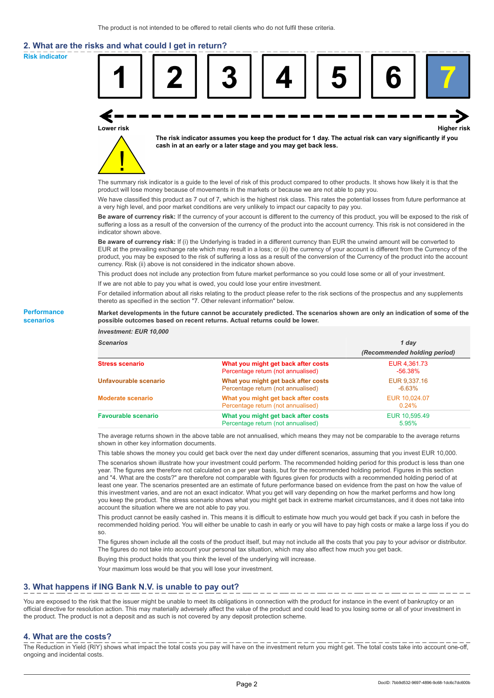# **2. What are the risks and what could I get in return?**

**Risk indicator**

**Performance scenarios**



thereto as specified in the section "7. Other relevant information" below.

#### **Market developments in the future cannot be accurately predicted. The scenarios shown are only an indication of some of the possible outcomes based on recent returns. Actual returns could be lower.**

| <b>Investment: EUR 10,000</b> |                                                                           |                              |
|-------------------------------|---------------------------------------------------------------------------|------------------------------|
| <b>Scenarios</b>              |                                                                           | 1 day                        |
|                               |                                                                           | (Recommended holding period) |
| <b>Stress scenario</b>        | What you might get back after costs<br>Percentage return (not annualised) | EUR 4,361.73<br>$-56.38\%$   |
| Unfavourable scenario         | What you might get back after costs<br>Percentage return (not annualised) | EUR 9,337.16<br>$-6.63\%$    |
| <b>Moderate scenario</b>      | What you might get back after costs<br>Percentage return (not annualised) | EUR 10.024.07<br>$0.24\%$    |
| <b>Favourable scenario</b>    | What you might get back after costs<br>Percentage return (not annualised) | EUR 10,595.49<br>5.95%       |

The average returns shown in the above table are not annualised, which means they may not be comparable to the average returns shown in other key information documents.

This table shows the money you could get back over the next day under different scenarios, assuming that you invest EUR 10,000.

The scenarios shown illustrate how your investment could perform. The recommended holding period for this product is less than one year. The figures are therefore not calculated on a per year basis, but for the recommended holding period. Figures in this section and "4. What are the costs?" are therefore not comparable with figures given for products with a recommended holding period of at least one year. The scenarios presented are an estimate of future performance based on evidence from the past on how the value of this investment varies, and are not an exact indicator. What you get will vary depending on how the market performs and how long you keep the product. The stress scenario shows what you might get back in extreme market circumstances, and it does not take into account the situation where we are not able to pay you.

This product cannot be easily cashed in. This means it is difficult to estimate how much you would get back if you cash in before the recommended holding period. You will either be unable to cash in early or you will have to pay high costs or make a large loss if you do so.

The figures shown include all the costs of the product itself, but may not include all the costs that you pay to your advisor or distributor. The figures do not take into account your personal tax situation, which may also affect how much you get back.

Buying this product holds that you think the level of the underlying will increase.

Your maximum loss would be that you will lose your investment.

## **3. What happens if ING Bank N.V. is unable to pay out?**

You are exposed to the risk that the issuer might be unable to meet its obligations in connection with the product for instance in the event of bankruptcy or an official directive for resolution action. This may materially adversely affect the value of the product and could lead to you losing some or all of your investment in the product. The product is not a deposit and as such is not covered by any deposit protection scheme.

#### **4. What are the costs?**

The Reduction in Yield (RIY) shows what impact the total costs you pay will have on the investment return you might get. The total costs take into account one-off, ongoing and incidental costs.